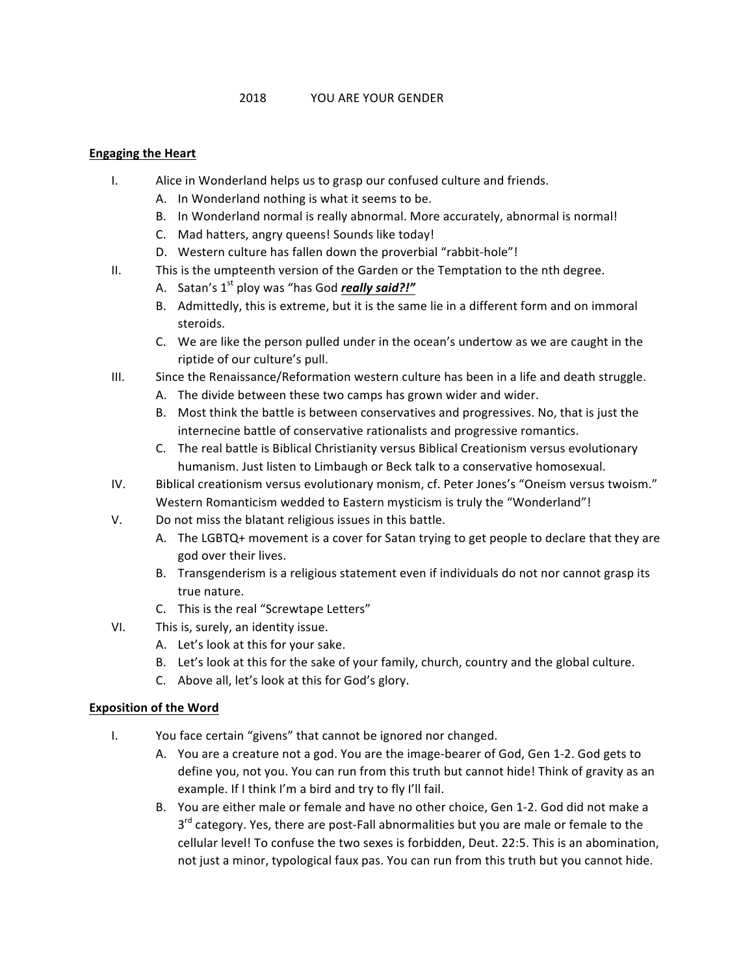## **Engaging the Heart**

- I. Alice in Wonderland helps us to grasp our confused culture and friends.
	- A. In Wonderland nothing is what it seems to be.
	- B. In Wonderland normal is really abnormal. More accurately, abnormal is normal!
	- C. Mad hatters, angry queens! Sounds like today!
	- D. Western culture has fallen down the proverbial "rabbit-hole"!
- II. This is the umpteenth version of the Garden or the Temptation to the nth degree.
	- A. Satan's 1<sup>st</sup> ploy was "has God *really said?!"*
	- B. Admittedly, this is extreme, but it is the same lie in a different form and on immoral steroids.
	- C. We are like the person pulled under in the ocean's undertow as we are caught in the riptide of our culture's pull.
- III. Since the Renaissance/Reformation western culture has been in a life and death struggle.
	- A. The divide between these two camps has grown wider and wider.
	- B. Most think the battle is between conservatives and progressives. No, that is just the internecine battle of conservative rationalists and progressive romantics.
	- C. The real battle is Biblical Christianity versus Biblical Creationism versus evolutionary humanism. Just listen to Limbaugh or Beck talk to a conservative homosexual.
- IV. Biblical creationism versus evolutionary monism, cf. Peter Jones's "Oneism versus twoism." Western Romanticism wedded to Eastern mysticism is truly the "Wonderland"!
- V. Do not miss the blatant religious issues in this battle.
	- A. The LGBTQ+ movement is a cover for Satan trying to get people to declare that they are god over their lives.
	- B. Transgenderism is a religious statement even if individuals do not nor cannot grasp its true nature.
	- C. This is the real "Screwtape Letters"
- VI. This is, surely, an identity issue.
	- A. Let's look at this for your sake.
	- B. Let's look at this for the sake of your family, church, country and the global culture.
	- C. Above all, let's look at this for God's glory.

## **Exposition of the Word**

- I. You face certain "givens" that cannot be ignored nor changed.
	- A. You are a creature not a god. You are the image-bearer of God, Gen 1-2. God gets to define you, not you. You can run from this truth but cannot hide! Think of gravity as an example. If I think I'm a bird and try to fly I'll fail.
	- B. You are either male or female and have no other choice, Gen 1-2. God did not make a  $3<sup>rd</sup>$  category. Yes, there are post-Fall abnormalities but you are male or female to the cellular level! To confuse the two sexes is forbidden, Deut. 22:5. This is an abomination, not just a minor, typological faux pas. You can run from this truth but you cannot hide.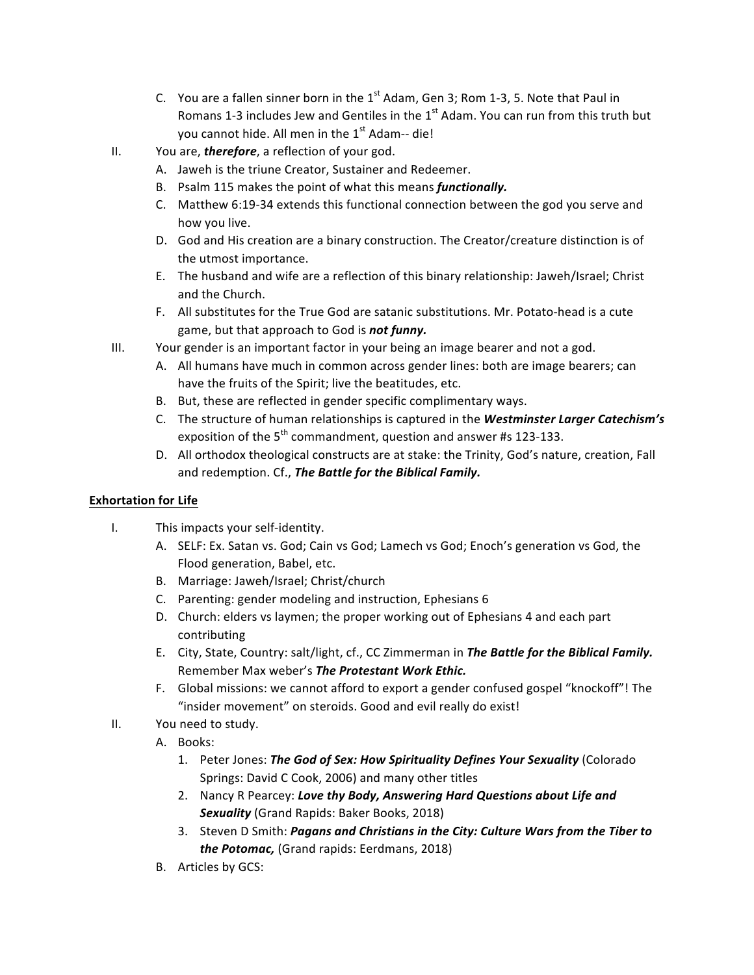- C. You are a fallen sinner born in the  $1<sup>st</sup>$  Adam, Gen 3; Rom 1-3, 5. Note that Paul in Romans 1-3 includes Jew and Gentiles in the  $1<sup>st</sup>$  Adam. You can run from this truth but you cannot hide. All men in the  $1<sup>st</sup>$  Adam-- die!
- II. You are, **therefore**, a reflection of your god.
	- A. Jaweh is the triune Creator, Sustainer and Redeemer.
	- B. Psalm 115 makes the point of what this means *functionally.*
	- C. Matthew 6:19-34 extends this functional connection between the god you serve and how you live.
	- D. God and His creation are a binary construction. The Creator/creature distinction is of the utmost importance.
	- E. The husband and wife are a reflection of this binary relationship: Jaweh/Israel; Christ and the Church.
	- F. All substitutes for the True God are satanic substitutions. Mr. Potato-head is a cute game, but that approach to God is **not funny.**
- III. Your gender is an important factor in your being an image bearer and not a god.
	- A. All humans have much in common across gender lines: both are image bearers; can have the fruits of the Spirit; live the beatitudes, etc.
	- B. But, these are reflected in gender specific complimentary ways.
	- C. The structure of human relationships is captured in the Westminster Larger Catechism's exposition of the  $5<sup>th</sup>$  commandment, question and answer #s 123-133.
	- D. All orthodox theological constructs are at stake: the Trinity, God's nature, creation, Fall and redemption. Cf., The Battle for the Biblical Family.

## **Exhortation for Life**

- I. This impacts your self-identity.
	- A. SELF: Ex. Satan vs. God; Cain vs God; Lamech vs God; Enoch's generation vs God, the Flood generation, Babel, etc.
	- B. Marriage: Jaweh/Israel; Christ/church
	- C. Parenting: gender modeling and instruction, Ephesians 6
	- D. Church: elders vs laymen; the proper working out of Ephesians 4 and each part contributing
	- E. City, State, Country: salt/light, cf., CC Zimmerman in **The Battle for the Biblical Family.** Remember Max weber's The Protestant Work Ethic.
	- F. Global missions: we cannot afford to export a gender confused gospel "knockoff"! The "insider movement" on steroids. Good and evil really do exist!
- II. You need to study.
	- A. Books:
		- 1. Peter Jones: **The God of Sex: How Spirituality Defines Your Sexuality** (Colorado Springs: David C Cook, 2006) and many other titles
		- 2. Nancy R Pearcey: Love thy Body, Answering Hard Questions about Life and **Sexuality** (Grand Rapids: Baker Books, 2018)
		- 3. Steven D Smith: *Pagans and Christians in the City: Culture Wars from the Tiber to the Potomac,* (Grand rapids: Eerdmans, 2018)
	- B. Articles by GCS: